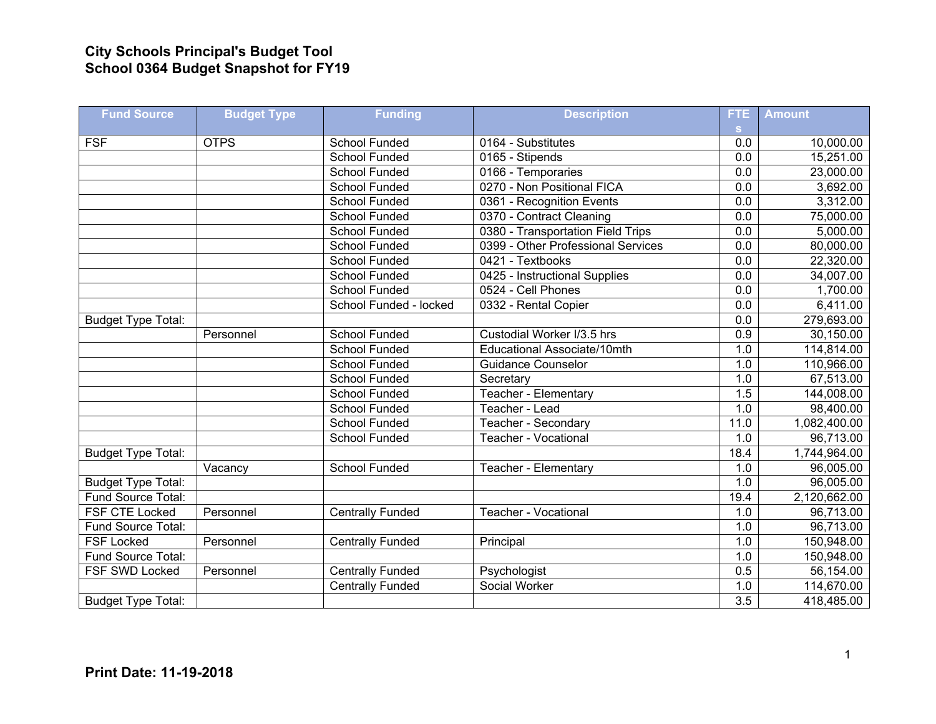## **City Schools Principal's Budget Tool School 0364 Budget Snapshot for FY19**

| <b>Fund Source</b>        | <b>Budget Type</b> | <b>Funding</b>          | <b>Description</b>                 | FTE.             | <b>Amount</b> |
|---------------------------|--------------------|-------------------------|------------------------------------|------------------|---------------|
|                           |                    |                         |                                    | S.               |               |
| <b>FSF</b>                | <b>OTPS</b>        | School Funded           | 0164 - Substitutes                 | 0.0              | 10,000.00     |
|                           |                    | <b>School Funded</b>    | 0165 - Stipends                    | 0.0              | 15,251.00     |
|                           |                    | <b>School Funded</b>    | 0166 - Temporaries                 | 0.0              | 23,000.00     |
|                           |                    | School Funded           | 0270 - Non Positional FICA         | $\overline{0.0}$ | 3,692.00      |
|                           |                    | School Funded           | 0361 - Recognition Events          | $\overline{0.0}$ | 3,312.00      |
|                           |                    | School Funded           | 0370 - Contract Cleaning           | 0.0              | 75,000.00     |
|                           |                    | <b>School Funded</b>    | 0380 - Transportation Field Trips  | 0.0              | 5,000.00      |
|                           |                    | <b>School Funded</b>    | 0399 - Other Professional Services | $\overline{0.0}$ | 80,000.00     |
|                           |                    | <b>School Funded</b>    | 0421 - Textbooks                   | $\overline{0.0}$ | 22,320.00     |
|                           |                    | School Funded           | 0425 - Instructional Supplies      | 0.0              | 34,007.00     |
|                           |                    | <b>School Funded</b>    | 0524 - Cell Phones                 | $\overline{0.0}$ | 1,700.00      |
|                           |                    | School Funded - locked  | 0332 - Rental Copier               | 0.0              | 6,411.00      |
| <b>Budget Type Total:</b> |                    |                         |                                    | 0.0              | 279,693.00    |
|                           | Personnel          | <b>School Funded</b>    | Custodial Worker I/3.5 hrs         | $\overline{0.9}$ | 30,150.00     |
|                           |                    | School Funded           | Educational Associate/10mth        | 1.0              | 114,814.00    |
|                           |                    | School Funded           | <b>Guidance Counselor</b>          | 1.0              | 110,966.00    |
|                           |                    | School Funded           | Secretary                          | 1.0              | 67,513.00     |
|                           |                    | School Funded           | Teacher - Elementary               | 1.5              | 144,008.00    |
|                           |                    | <b>School Funded</b>    | Teacher - Lead                     | 1.0              | 98,400.00     |
|                           |                    | School Funded           | Teacher - Secondary                | 11.0             | 1,082,400.00  |
|                           |                    | School Funded           | Teacher - Vocational               | 1.0              | 96,713.00     |
| <b>Budget Type Total:</b> |                    |                         |                                    | 18.4             | 1,744,964.00  |
|                           | Vacancy            | School Funded           | Teacher - Elementary               | 1.0              | 96,005.00     |
| <b>Budget Type Total:</b> |                    |                         |                                    | 1.0              | 96,005.00     |
| Fund Source Total:        |                    |                         |                                    | 19.4             | 2,120,662.00  |
| <b>FSF CTE Locked</b>     | Personnel          | <b>Centrally Funded</b> | Teacher - Vocational               | 1.0              | 96,713.00     |
| Fund Source Total:        |                    |                         |                                    | 1.0              | 96,713.00     |
| <b>FSF Locked</b>         | Personnel          | <b>Centrally Funded</b> | Principal                          | 1.0              | 150,948.00    |
| Fund Source Total:        |                    |                         |                                    | 1.0              | 150,948.00    |
| FSF SWD Locked            | Personnel          | <b>Centrally Funded</b> | Psychologist                       | 0.5              | 56,154.00     |
|                           |                    | <b>Centrally Funded</b> | Social Worker                      | 1.0              | 114,670.00    |
| <b>Budget Type Total:</b> |                    |                         |                                    | $\overline{3.5}$ | 418,485.00    |